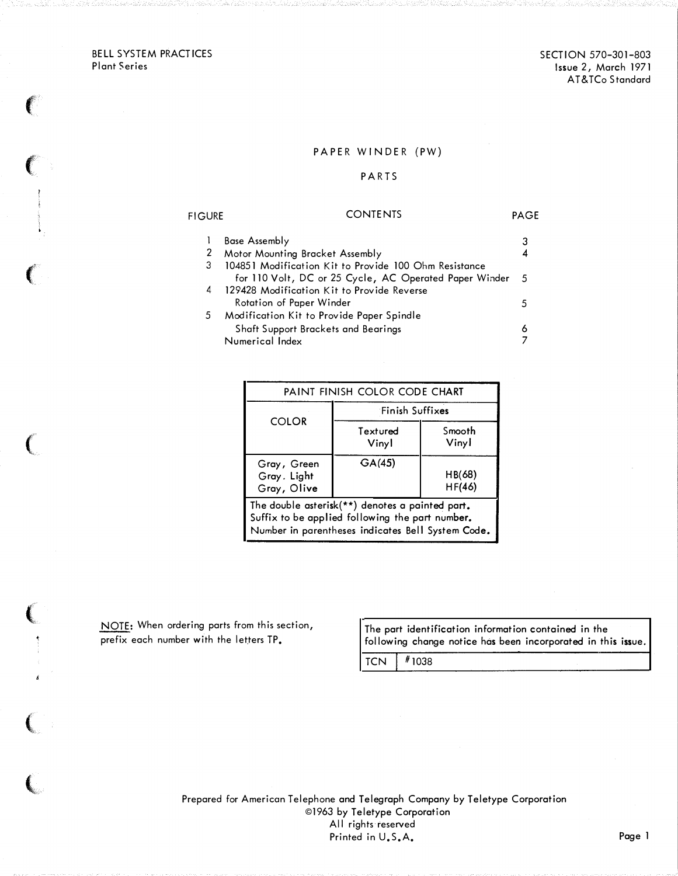BELL SYSTEM PRACTICES Plant Series

 $\left($ 

 $\label{eq:1}$  where  $\frac{1}{2}$ 

 $\left($ 

 $\big($ 

(

 $\overline{C}$ 

(

## PAPER WINDER (PW)

## P ARTS

#### **FIGURE** CONTENTS PAGE 1 Base Assembly 3 2 Motor Mounting Bracket Assembly 4 3 104851 Modification Kit to Provide 100 Ohm Resistance for 110 Volt, DC or 25 Cycle, AC Operated Paper Winder 5 4 129428 Modification Kit to Provide Reverse Rotation of Paper Winder 5 Modification Kit to Provide Paper Spindle Shaft Support Brackets and Bearings Numerical Index 5 6 7

| PAINT FINISH COLOR CODE CHART                                                                                                                           |                   |                  |  |  |
|---------------------------------------------------------------------------------------------------------------------------------------------------------|-------------------|------------------|--|--|
| <b>COLOR</b>                                                                                                                                            | Finish Suffixes   |                  |  |  |
|                                                                                                                                                         | Textured<br>Vinyl | Smooth<br>Vinyl  |  |  |
| Gray, Green<br>Gray, Light<br>Gray, Olive                                                                                                               | GA(45)            | HB(68)<br>HF(46) |  |  |
| The double asterisk(**) denotes a painted part.<br>Suffix to be applied following the part number.<br>Number in parentheses indicates Bell System Code. |                   |                  |  |  |

The part identification information contained in the following change notice has been incorporated in this issue.

 $TCN$   $\#1038$ 

Prepared for American Telephone and Telegraph Company by Teletype Corporation ©1963 by Teletype Corporation All rights reserved Printed in U.S.A. Page 1

NOTE: When ordering parts from this section, prefix each number with the letters TP.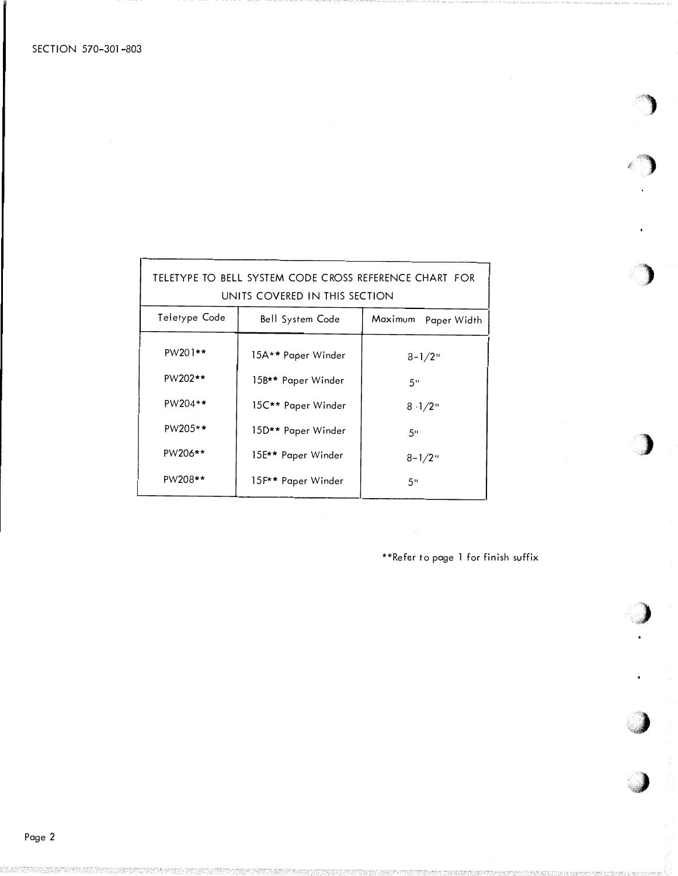| TELETYPE TO BELL SYSTEM CODE CROSS REFERENCE CHART FOR<br>UNITS COVERED IN THIS SECTION |                    |                     |  |  |  |  |
|-----------------------------------------------------------------------------------------|--------------------|---------------------|--|--|--|--|
| Teletype Code                                                                           | Bell System Code   | Maximum Paper Width |  |  |  |  |
| PW201**                                                                                 | 15A** Paper Winder | $8 - 1/2$ "         |  |  |  |  |
| PW202**                                                                                 | 15B** Paper Winder | 5"                  |  |  |  |  |
| $PW204**$                                                                               | 15C** Paper Winder | $8 - 1/2$ "         |  |  |  |  |
| $PW205**$                                                                               | 15D** Paper Winder | 50                  |  |  |  |  |
| PW206**                                                                                 | 15E** Paper Winder | $8 - 1/2$ "         |  |  |  |  |
| PW208**                                                                                 | 15F** Paper Winder | 5"                  |  |  |  |  |

\*\*Refer to page 1 for finish suffix

 $\epsilon_{\rm{eff}}$ 

 $\bar{\bullet}$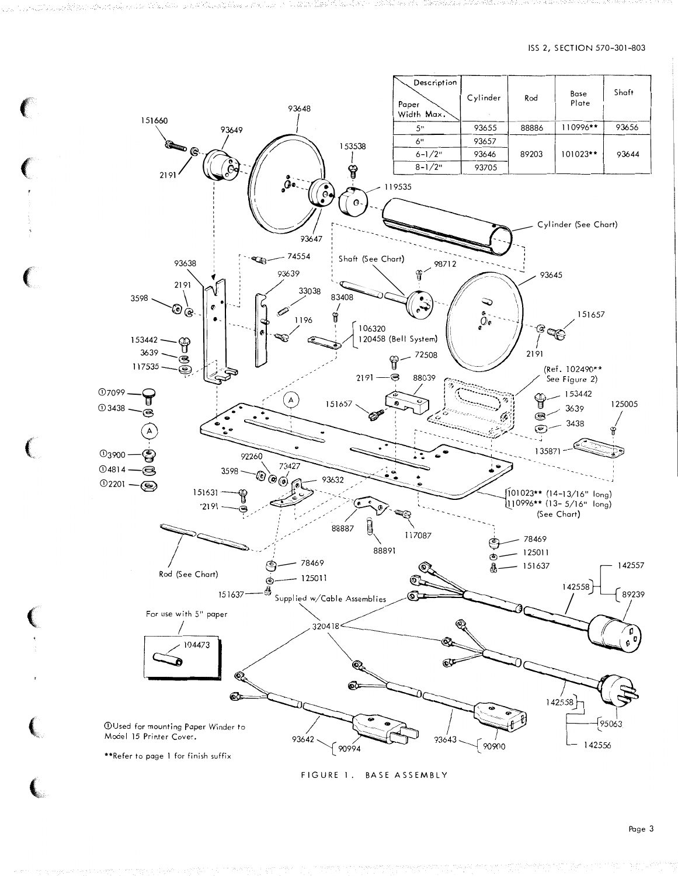

منعا والأولاد والكواري والموارقة والمسائلة أأنان

FIGURE 1. BASE ASSEMBLY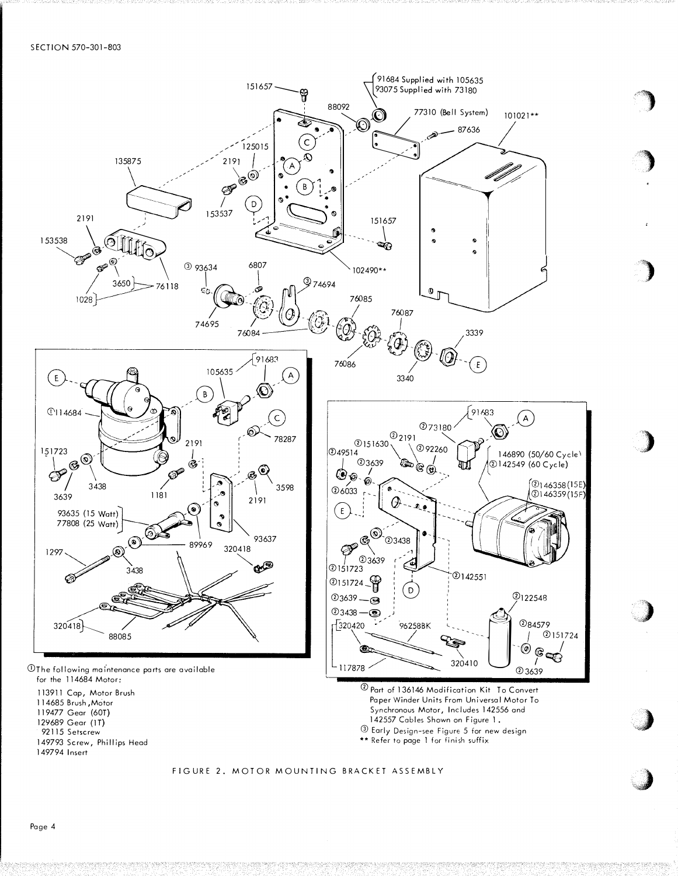

 $\overline{ }$ 

 $\frac{1}{2}$ 

 $\boldsymbol{J}$ 

)

)

··�)

 $\boldsymbol{\ell}$ '·'

FIGURE 2. MOTOR MOUNTING BRACKET ASSEMBLY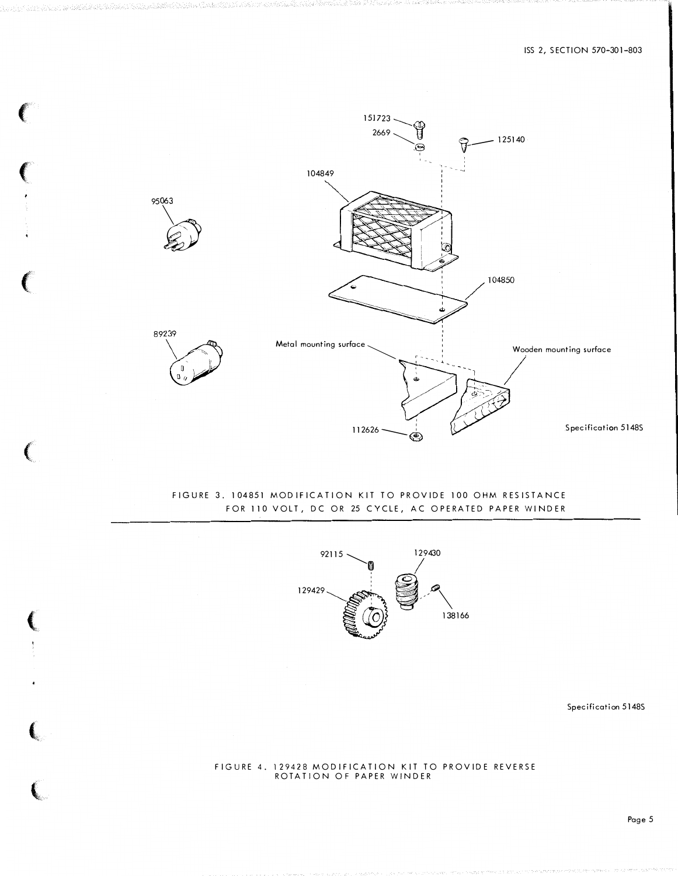

inn alalan mahalalan kalendar kelebaran

## FIGURE 3. 104851 MODIFICATION KIT TO PROVIDE 100 OHM RESISTANCE FOR 110 VOLT, DC OR 25 CYCLE, AC OPERATED PAPER WINDER



Specification 5148S

### FIGURE 4. 129428 MODIFICATION KIT TO PROVIDE REVERSE ROTATION OF PAPER WINDER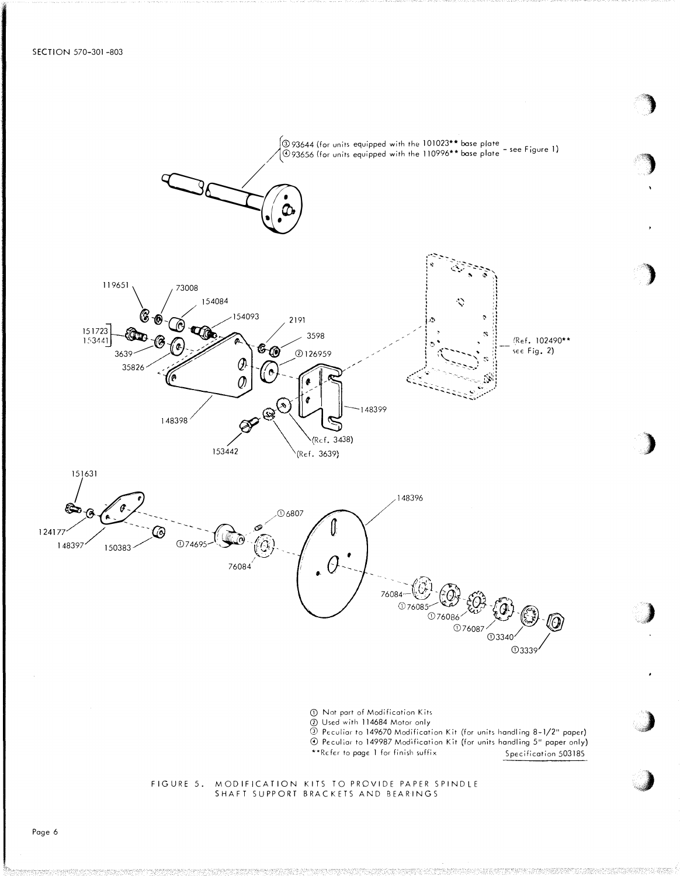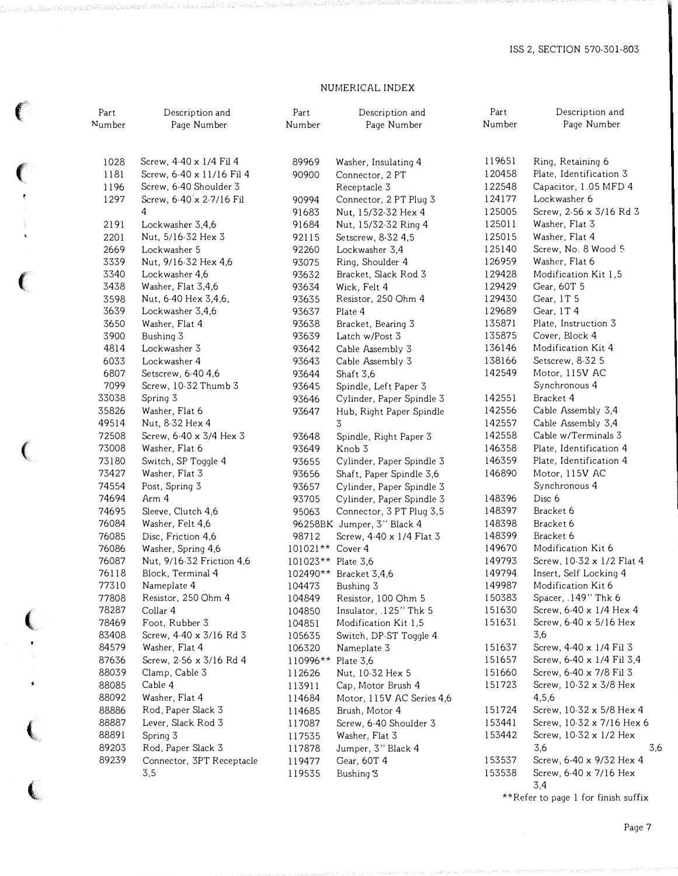## NUMERICAL INDEX

{'

 $\begin{array}{c} \begin{array}{c} \bullet \\ \bullet \\ \end{array} \end{array}$ 

€

 $\left($ 

 $\left($ 

 $\left($ 

| Part<br>Number | Description and<br>Page Number            |                    | Description and<br>Page Number                  | Part<br>Number   | Description and<br>Page Number |  |
|----------------|-------------------------------------------|--------------------|-------------------------------------------------|------------------|--------------------------------|--|
| 1028           | Screw, 4-40 x 1/4 Fil 4                   | 89969              | Washer, Insulating 4                            | 119651           | Ring, Retaining 6              |  |
| 1181           | Screw, 6-40 x 11/16 Fil 4                 | 90900              | Connector, 2 PT                                 | 120458           | Plate, Identification 3        |  |
| 1196           | Screw, 6-40 Shoulder 3                    |                    | Receptacle 3                                    | 122548           | Capacitor, 1.05 MFD 4          |  |
| 1297           | Screw, 6-40 x 2-7/16 Fil                  | 90994              | Connector, 2 PT Plug 3                          | 124177           | Lockwasher 6                   |  |
|                | 4                                         | 91683              | Nut, 15/32-32 Hex 4                             | 125005           | Screw, 2-56 x 3/16 Rd 3        |  |
| 2191           | Lockwasher 3,4,6                          | 91684              | Nut, 15/32-32 Ring 4                            | 125011           | Washer, Flat 3                 |  |
| 2201           | Nut, 5/16-32 Hex 3                        | 92115              | Setscrew, 8-32 4,5                              | 125015           | Washer, Flat 4                 |  |
| 2669           | Lockwasher 5                              | 92260              | Lockwasher 3,4                                  | 125140           | Screw, No. 8 Wood 5            |  |
| 3339           | Nut, 9/16-32 Hex 4,6                      | 93075              | Ring, Shoulder 4                                | 126959           | Washer, Flat 6                 |  |
| 3340           | Lockwasher 4,6                            | 93632              | Bracket, Slack Rod 3                            | 129428           | Modification Kit 1,5           |  |
| 3438           | Washer, Flat 3,4,6                        | 93634              | Wick, Felt 4                                    | 129429           | Gear, 60T 5                    |  |
| 3598           | Nut, 6-40 Hex 3,4,6,                      | 93635              | Resistor, 250 Ohm 4                             | 129430           | Gear, 1T 5                     |  |
| 3639           | Lockwasher 3,4,6                          | 93637              | Plate 4                                         | 129689           | Gear, 1T4                      |  |
| 3650           | Washer, Flat 4                            | 93638              | Bracket, Bearing 3                              | 135871           | Plate, Instruction 3           |  |
| 3900           | Bushing 3                                 | 93639              | Latch w/Post 3                                  | 135875           | Cover, Block 4                 |  |
| 4814           | Lockwasher 3                              | 93642              | Cable Assembly 3                                | 136146           | Modification Kit 4             |  |
| 6033           | Lockwasher 4                              | 93643              | Cable Assembly 3                                | 138166           | Setscrew, 8-32 5               |  |
| 6807           | Setscrew, 6-40 4,6                        | 93644              | Shaft 3,6                                       | 142549           | Motor, 115V AC                 |  |
| 7099           | Screw, 10-32 Thumb 3                      | 93645              | Spindle, Left Paper 3                           |                  | Synchronous 4                  |  |
| 33038          | Spring 3                                  | 93646              | Cylinder, Paper Spindle 3                       | 142551           | Bracket 4                      |  |
| 35826          | Washer, Flat 6                            | 93647              | Hub, Right Paper Spindle                        | 142556           | Cable Assembly 3,4             |  |
| 49514          | Nut, 8-32 Hex 4                           |                    | 3                                               | 142557           | Cable Assembly 3,4             |  |
| 72508          | Screw, 6-40 x 3/4 Hex 3                   | 93648              | Spindle, Right Paper 3                          | 142558           | Cable w/Terminals 3            |  |
| 73008          | Washer, Flat 6                            | 93649              | Knob <sub>3</sub>                               | 146358           | Plate, Identification 4        |  |
| 73180          | Switch, SP Toggle 4                       | 93655              | Cylinder, Paper Spindle 3                       | 146359           | Plate, Identification 4        |  |
| 73427          | Washer, Flat 3                            | 93656              | Shaft, Paper Spindle 3,6                        | 146890           | Motor, 115V AC                 |  |
| 74554          | Post, Spring 3                            | 93657              | Cylinder, Paper Spindle 3                       |                  | Synchronous 4                  |  |
| 74694          | Arm 4                                     | 93705              | Cylinder, Paper Spindle 3                       | 148396           | Disc 6                         |  |
| 74695          | Sleeve, Clutch 4,6                        | 95063              | Connector, 3 PT Plug 3,5                        | 148397           | Bracket 6                      |  |
| 76084          | Washer, Felt 4,6                          |                    | 96258BK Jumper, 3" Black 4                      | 148398           | Bracket 6                      |  |
| 76085          | Disc, Friction 4,6                        | 98712              | Screw, 4-40 x 1/4 Flat 3                        | 148399           | Bracket 6                      |  |
| 76086          | Washer, Spring 4,6                        | $101021**$         | Cover 4                                         | 149670           | Modification Kit 6             |  |
| 76087          | Nut, 9/16-32 Friction 4,6                 | 101023**           | Plate 3,6                                       | 149793           | Screw, 10-32 x 1/2 Flat 4      |  |
| 76118          | Block, Terminal 4                         | 102490**           | Bracket 3,4,6                                   | 149794           | Insert, Self Locking 4         |  |
| 77310          | Nameplate 4                               | 104473             | Bushing 3                                       | 149987           | Modification Kit 6             |  |
| 77808          | Resistor, 250 Ohm 4                       | 104849             | Resistor, 100 Ohm 5                             | 150383           | Spacer, .149" Thk 6            |  |
| 78287          | Collar 4                                  | 104850             | Insulator, .125" Thk 5                          | 151630           | Screw, 6-40 x 1/4 Hex 4        |  |
| 78469          | Foot, Rubber 3                            | 104851             | Modification Kit 1,5                            | 151631           | Screw, 6-40 x 5/16 Hex         |  |
| 83408<br>84579 | Screw, 4-40 x 3/16 Rd 3                   | 105635             | Switch, DP-ST Toggle 4                          |                  | 3,6<br>Screw, 4-40 x 1/4 Fil 3 |  |
|                | Washer, Flat 4<br>Screw, 2-56 x 3/16 Rd 4 | 106320             | Nameplate 3                                     | 151637<br>151657 | Screw, 6-40 x 1/4 Fil 3,4      |  |
| 87636          |                                           | 110996** Plate 3,6 |                                                 | 151660           | Screw, 6-40 x 7/8 Fil 3        |  |
| 88039<br>88085 | Clamp, Cable 3<br>Cable 4                 | 112626             | Nut, 10-32 Hex 5                                | 151723           | Screw, 10-32 x 3/8 Hex         |  |
| 88092          | Washer, Flat 4                            | 113911             | Cap, Motor Brush 4<br>Motor, 115V AC Series 4,6 |                  | 4,5,6                          |  |
| 88886          | Rod, Paper Slack 3                        | 114684             |                                                 | 151724           | Screw, 10-32 x 5/8 Hex 4       |  |
| 88887          | Lever, Slack Rod 3                        | 114685             | Brush, Motor 4<br>Screw, 6-40 Shoulder 3        | 153441           | Screw, 10-32 x 7/16 Hex 6      |  |
| 88891          | Spring 3                                  | 117087             |                                                 | 153442           | Screw, 10-32 x 1/2 Hex         |  |
| 89203          | Rod, Paper Slack 3                        | 117535             | Washer, Flat 3                                  |                  | 3,6<br>3,6                     |  |
| 89239          | Connector, 3PT Receptacle                 | 117878             | Jumper, 3" Black 4                              | 153537           | Screw, 6-40 x 9/32 Hex 4       |  |
|                | 3,5                                       | 119477             | Gear, 60T 4                                     | 153538           | Screw, 6-40 x 7/16 Hex         |  |
|                |                                           | 119535             | Bushing 3                                       |                  |                                |  |

\*\*Refer to page 1 for finish suffix

3,4